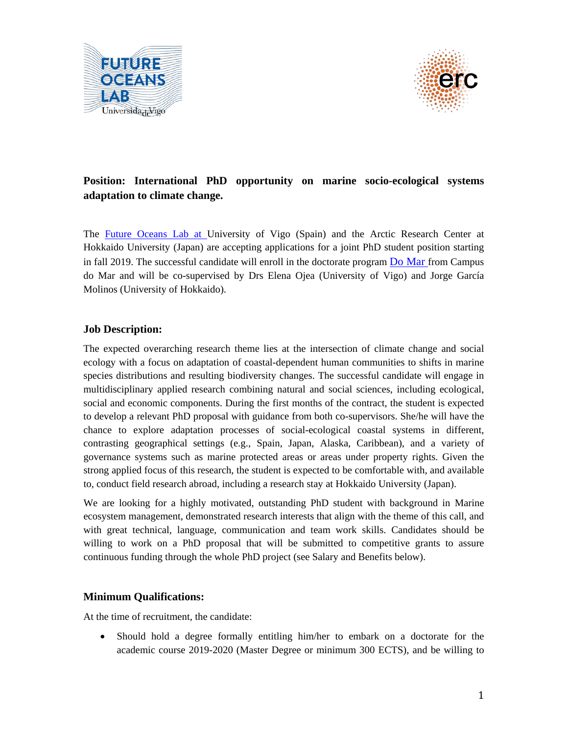



# **Position: International PhD opportunity on marine socio-ecological systems adaptation to climate change.**

The [Future Oceans Lab](http://futureoceanslab.org/) at University of Vigo (Spain) and the Arctic Research Center at Hokkaido University (Japan) are accepting applications for a joint PhD student position starting in fall 2019. The successful candidate will enroll in the doctorate program [Do Mar](mailto:http://campusdomar-pt-domar.net%20and%20http://campusdomar.es/es/phd-in-marine-science-technology-and-management-domar) from Campus do Mar and will be co-supervised by Drs Elena Ojea (University of Vigo) and Jorge García Molinos (University of Hokkaido).

#### **Job Description:**

The expected overarching research theme lies at the intersection of climate change and social ecology with a focus on adaptation of coastal-dependent human communities to shifts in marine species distributions and resulting biodiversity changes. The successful candidate will engage in multidisciplinary applied research combining natural and social sciences, including ecological, social and economic components. During the first months of the contract, the student is expected to develop a relevant PhD proposal with guidance from both co-supervisors. She/he will have the chance to explore adaptation processes of social-ecological coastal systems in different, contrasting geographical settings (e.g., Spain, Japan, Alaska, Caribbean), and a variety of governance systems such as marine protected areas or areas under property rights. Given the strong applied focus of this research, the student is expected to be comfortable with, and available to, conduct field research abroad, including a research stay at Hokkaido University (Japan).

We are looking for a highly motivated, outstanding PhD student with background in Marine ecosystem management, demonstrated research interests that align with the theme of this call, and with great technical, language, communication and team work skills. Candidates should be willing to work on a PhD proposal that will be submitted to competitive grants to assure continuous funding through the whole PhD project (see Salary and Benefits below).

#### **Minimum Qualifications:**

At the time of recruitment, the candidate:

• Should hold a degree formally entitling him/her to embark on a doctorate for the academic course 2019-2020 (Master Degree or minimum 300 ECTS), and be willing to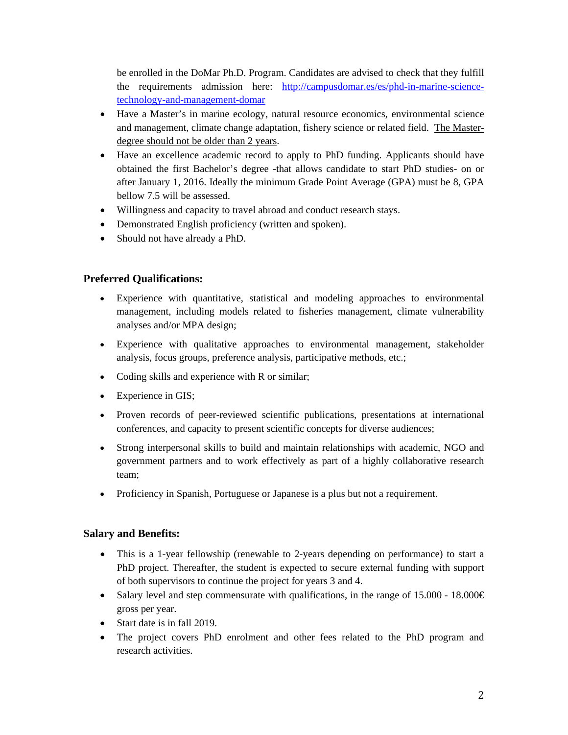be enrolled in the DoMar Ph.D. Program. Candidates are advised to check that they fulfill the requirements admission here: [http://campusdomar.es/es/phd-in-marine-science](http://campusdomar.es/es/phd-in-marine-science-technology-and-management-domar)[technology-and-management-domar](http://campusdomar.es/es/phd-in-marine-science-technology-and-management-domar)

- Have a Master's in marine ecology, natural resource economics, environmental science and management, climate change adaptation, fishery science or related field. The Masterdegree should not be older than 2 years.
- Have an excellence academic record to apply to PhD funding. Applicants should have obtained the first Bachelor's degree -that allows candidate to start PhD studies- on or after January 1, 2016. Ideally the minimum Grade Point Average (GPA) must be 8, GPA bellow 7.5 will be assessed.
- Willingness and capacity to travel abroad and conduct research stays.
- Demonstrated English proficiency (written and spoken).
- Should not have already a PhD.

## **Preferred Qualifications:**

- Experience with quantitative, statistical and modeling approaches to environmental management, including models related to fisheries management, climate vulnerability analyses and/or MPA design;
- Experience with qualitative approaches to environmental management, stakeholder analysis, focus groups, preference analysis, participative methods, etc.;
- Coding skills and experience with R or similar;
- Experience in GIS;
- Proven records of peer-reviewed scientific publications, presentations at international conferences, and capacity to present scientific concepts for diverse audiences;
- Strong interpersonal skills to build and maintain relationships with academic, NGO and government partners and to work effectively as part of a highly collaborative research team;
- Proficiency in Spanish, Portuguese or Japanese is a plus but not a requirement.

## **Salary and Benefits:**

- This is a 1-year fellowship (renewable to 2-years depending on performance) to start a PhD project. Thereafter, the student is expected to secure external funding with support of both supervisors to continue the project for years 3 and 4.
- Salary level and step commensurate with qualifications, in the range of 15.000 18.000 $\in$ gross per year.
- Start date is in fall 2019.
- The project covers PhD enrolment and other fees related to the PhD program and research activities.